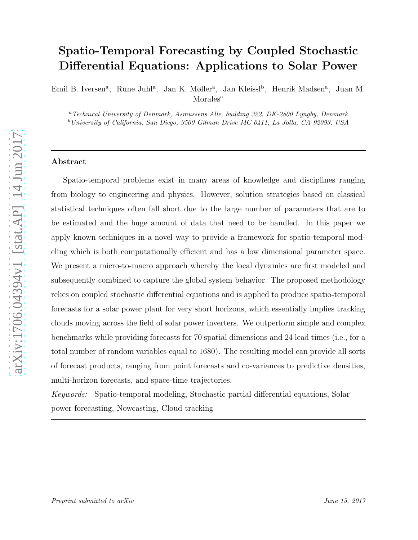# Spatio-Temporal Forecasting by Coupled Stochastic Differential Equations: Applications to Solar Power

Emil B. Iversen<sup>a</sup>, Rune Juhl<sup>a</sup>, Jan K. Møller<sup>a</sup>, Jan Kleissl<sup>b</sup>, Henrik Madsen<sup>a</sup>, Juan M. Morales<sup>a</sup>

<sup>a</sup>Technical University of Denmark, Asmussens Alle, building 322, DK-2800 Lyngby, Denmark <sup>b</sup>University of California, San Diego, 9500 Gilman Drive MC 0411, La Jolla, CA 92093, USA

#### Abstract

Spatio-temporal problems exist in many areas of knowledge and disciplines ranging from biology to engineering and physics. However, solution strategies based on classical statistical techniques often fall short due to the large number of parameters that are to be estimated and the huge amount of data that need to be handled. In this paper we apply known techniques in a novel way to provide a framework for spatio-temporal modeling which is both computationally efficient and has a low dimensional parameter space. We present a micro-to-macro approach whereby the local dynamics are first modeled and subsequently combined to capture the global system behavior. The proposed methodology relies on coupled stochastic differential equations and is applied to produce spatio-temporal forecasts for a solar power plant for very short horizons, which essentially implies tracking clouds moving across the field of solar power inverters. We outperform simple and complex benchmarks while providing forecasts for 70 spatial dimensions and 24 lead times (i.e., for a total number of random variables equal to 1680). The resulting model can provide all sorts of forecast products, ranging from point forecasts and co-variances to predictive densities, multi-horizon forecasts, and space-time trajectories.

Keywords: Spatio-temporal modeling, Stochastic partial differential equations, Solar power forecasting, Nowcasting, Cloud tracking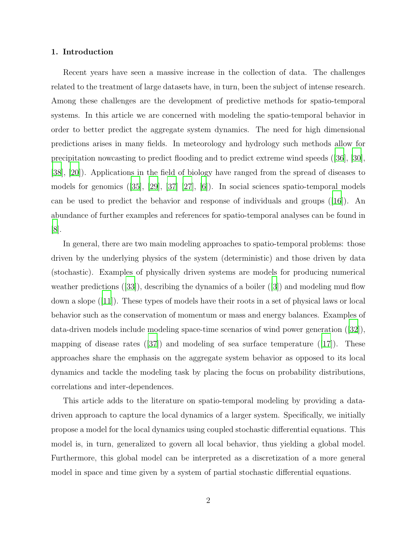# 1. Introduction

Recent years have seen a massive increase in the collection of data. The challenges related to the treatment of large datasets have, in turn, been the subject of intense research. Among these challenges are the development of predictive methods for spatio-temporal systems. In this article we are concerned with modeling the spatio-temporal behavior in order to better predict the aggregate system dynamics. The need for high dimensional predictions arises in many fields. In meteorology and hydrology such methods allow for precipitation nowcasting to predict flooding and to predict extreme wind speeds ([\[36\]](#page-23-0), [\[30\]](#page-22-0), [\[38\]](#page-23-1), [\[20\]](#page-21-0)). Applications in the field of biology have ranged from the spread of diseases to models for genomics ([\[35\]](#page-23-2), [\[29](#page-22-1)], [\[37\]](#page-23-3) [\[27](#page-22-2)], [\[6\]](#page-20-0)). In social sciences spatio-temporal models can be used to predict the behavior and response of individuals and groups ([\[16](#page-21-1)]). An abundance of further examples and references for spatio-temporal analyses can be found in [\[8\]](#page-20-1).

In general, there are two main modeling approaches to spatio-temporal problems: those driven by the underlying physics of the system (deterministic) and those driven by data (stochastic). Examples of physically driven systems are models for producing numerical weather predictions  $([33])$  $([33])$  $([33])$ , describing the dynamics of a boiler  $([3])$  $([3])$  $([3])$  and modeling mud flow down a slope ([\[11\]](#page-20-3)). These types of models have their roots in a set of physical laws or local behavior such as the conservation of momentum or mass and energy balances. Examples of data-driven models include modeling space-time scenarios of wind power generation ([\[32](#page-22-4)]), mapping of disease rates ([\[37](#page-23-3)]) and modeling of sea surface temperature ([\[17](#page-21-2)]). These approaches share the emphasis on the aggregate system behavior as opposed to its local dynamics and tackle the modeling task by placing the focus on probability distributions, correlations and inter-dependences.

This article adds to the literature on spatio-temporal modeling by providing a datadriven approach to capture the local dynamics of a larger system. Specifically, we initially propose a model for the local dynamics using coupled stochastic differential equations. This model is, in turn, generalized to govern all local behavior, thus yielding a global model. Furthermore, this global model can be interpreted as a discretization of a more general model in space and time given by a system of partial stochastic differential equations.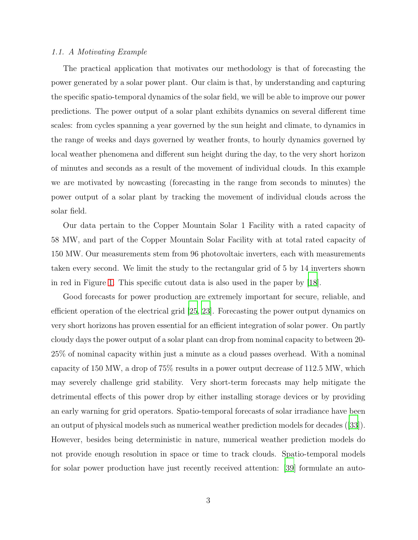## 1.1. A Motivating Example

The practical application that motivates our methodology is that of forecasting the power generated by a solar power plant. Our claim is that, by understanding and capturing the specific spatio-temporal dynamics of the solar field, we will be able to improve our power predictions. The power output of a solar plant exhibits dynamics on several different time scales: from cycles spanning a year governed by the sun height and climate, to dynamics in the range of weeks and days governed by weather fronts, to hourly dynamics governed by local weather phenomena and different sun height during the day, to the very short horizon of minutes and seconds as a result of the movement of individual clouds. In this example we are motivated by nowcasting (forecasting in the range from seconds to minutes) the power output of a solar plant by tracking the movement of individual clouds across the solar field.

Our data pertain to the Copper Mountain Solar 1 Facility with a rated capacity of 58 MW, and part of the Copper Mountain Solar Facility with at total rated capacity of 150 MW. Our measurements stem from 96 photovoltaic inverters, each with measurements taken every second. We limit the study to the rectangular grid of 5 by 14 inverters shown in red in Figure [1.](#page-3-0) This specific cutout data is also used in the paper by [\[18\]](#page-21-3).

Good forecasts for power production are extremely important for secure, reliable, and efficient operation of the electrical grid [\[25](#page-22-5), [23\]](#page-21-4). Forecasting the power output dynamics on very short horizons has proven essential for an efficient integration of solar power. On partly cloudy days the power output of a solar plant can drop from nominal capacity to between 20- 25% of nominal capacity within just a minute as a cloud passes overhead. With a nominal capacity of 150 MW, a drop of 75% results in a power output decrease of 112.5 MW, which may severely challenge grid stability. Very short-term forecasts may help mitigate the detrimental effects of this power drop by either installing storage devices or by providing an early warning for grid operators. Spatio-temporal forecasts of solar irradiance have been an output of physical models such as numerical weather prediction models for decades ([\[33](#page-22-3)]). However, besides being deterministic in nature, numerical weather prediction models do not provide enough resolution in space or time to track clouds. Spatio-temporal models for solar power production have just recently received attention: [\[39\]](#page-23-4) formulate an auto-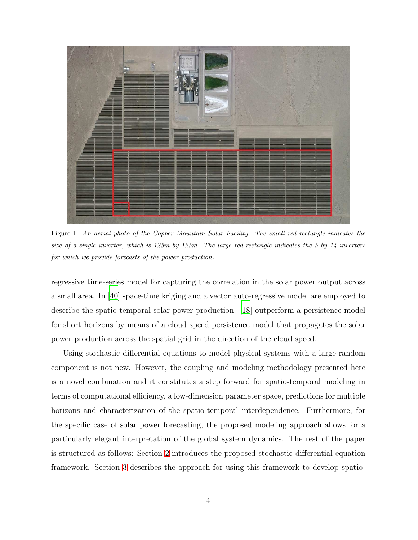

Figure 1: An aerial photo of the Copper Mountain Solar Facility. The small red rectangle indicates the size of a single inverter, which is 125m by 125m. The large red rectangle indicates the 5 by 14 inverters for which we provide forecasts of the power production.

<span id="page-3-0"></span>regressive time-series model for capturing the correlation in the solar power output across a small area. In [\[40\]](#page-23-5) space-time kriging and a vector auto-regressive model are employed to describe the spatio-temporal solar power production. [\[18](#page-21-3)] outperform a persistence model for short horizons by means of a cloud speed persistence model that propagates the solar power production across the spatial grid in the direction of the cloud speed.

Using stochastic differential equations to model physical systems with a large random component is not new. However, the coupling and modeling methodology presented here is a novel combination and it constitutes a step forward for spatio-temporal modeling in terms of computational efficiency, a low-dimension parameter space, predictions for multiple horizons and characterization of the spatio-temporal interdependence. Furthermore, for the specific case of solar power forecasting, the proposed modeling approach allows for a particularly elegant interpretation of the global system dynamics. The rest of the paper is structured as follows: Section [2](#page-4-0) introduces the proposed stochastic differential equation framework. Section [3](#page-6-0) describes the approach for using this framework to develop spatio-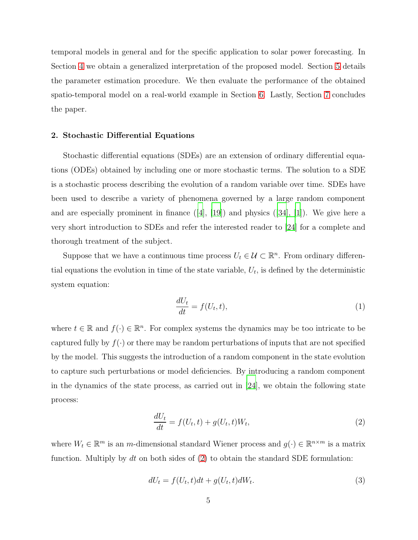temporal models in general and for the specific application to solar power forecasting. In Section [4](#page-9-0) we obtain a generalized interpretation of the proposed model. Section [5](#page-10-0) details the parameter estimation procedure. We then evaluate the performance of the obtained spatio-temporal model on a real-world example in Section [6.](#page-12-0) Lastly, Section [7](#page-18-0) concludes the paper.

## <span id="page-4-0"></span>2. Stochastic Differential Equations

Stochastic differential equations (SDEs) are an extension of ordinary differential equations (ODEs) obtained by including one or more stochastic terms. The solution to a SDE is a stochastic process describing the evolution of a random variable over time. SDEs have been used to describe a variety of phenomena governed by a large random component and are especially prominent in finance ([\[4\]](#page-20-4), [\[19](#page-21-5)]) and physics ([\[34\]](#page-22-6), [\[1\]](#page-19-0)). We give here a very short introduction to SDEs and refer the interested reader to [\[24](#page-22-7)] for a complete and thorough treatment of the subject.

Suppose that we have a continuous time process  $U_t \in \mathcal{U} \subset \mathbb{R}^n$ . From ordinary differential equations the evolution in time of the state variable,  $U_t$ , is defined by the deterministic system equation:

$$
\frac{dU_t}{dt} = f(U_t, t),\tag{1}
$$

where  $t \in \mathbb{R}$  and  $f(\cdot) \in \mathbb{R}^n$ . For complex systems the dynamics may be too intricate to be captured fully by  $f(\cdot)$  or there may be random perturbations of inputs that are not specified by the model. This suggests the introduction of a random component in the state evolution to capture such perturbations or model deficiencies. By introducing a random component in the dynamics of the state process, as carried out in  $[24]$ , we obtain the following state process:

<span id="page-4-1"></span>
$$
\frac{dU_t}{dt} = f(U_t, t) + g(U_t, t)W_t,
$$
\n(2)

where  $W_t \in \mathbb{R}^m$  is an m-dimensional standard Wiener process and  $g(\cdot) \in \mathbb{R}^{n \times m}$  is a matrix function. Multiply by dt on both sides of  $(2)$  to obtain the standard SDE formulation:

<span id="page-4-2"></span>
$$
dU_t = f(U_t, t)dt + g(U_t, t)dW_t.
$$
\n(3)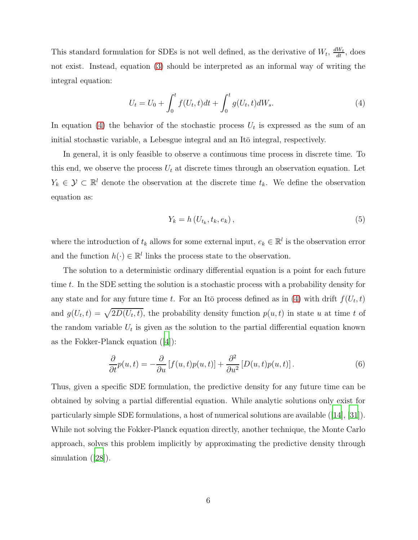This standard formulation for SDEs is not well defined, as the derivative of  $W_t$ ,  $\frac{dW_t}{dt}$ , does not exist. Instead, equation [\(3\)](#page-4-2) should be interpreted as an informal way of writing the integral equation:

<span id="page-5-0"></span>
$$
U_t = U_0 + \int_0^t f(U_t, t)dt + \int_0^t g(U_t, t)dW_s.
$$
 (4)

In equation [\(4\)](#page-5-0) the behavior of the stochastic process  $U_t$  is expressed as the sum of an initial stochastic variable, a Lebesgue integral and an Itō integral, respectively.

In general, it is only feasible to observe a continuous time process in discrete time. To this end, we observe the process  $U_t$  at discrete times through an observation equation. Let  $Y_k \in \mathcal{Y} \subset \mathbb{R}^l$  denote the observation at the discrete time  $t_k$ . We define the observation equation as:

$$
Y_k = h\left(U_{t_k}, t_k, e_k\right),\tag{5}
$$

where the introduction of  $t_k$  allows for some external input,  $e_k \in \mathbb{R}^l$  is the observation error and the function  $h(\cdot) \in \mathbb{R}^l$  links the process state to the observation.

The solution to a deterministic ordinary differential equation is a point for each future time t. In the SDE setting the solution is a stochastic process with a probability density for any state and for any future time t. For an Itō process defined as in [\(4\)](#page-5-0) with drift  $f(U_t, t)$ and  $g(U_t,t) = \sqrt{2D(U_t,t)}$ , the probability density function  $p(u,t)$  in state u at time t of the random variable  $U_t$  is given as the solution to the partial differential equation known as the Fokker-Planck equation ([\[4\]](#page-20-4)):

$$
\frac{\partial}{\partial t}p(u,t) = -\frac{\partial}{\partial u}\left[f(u,t)p(u,t)\right] + \frac{\partial^2}{\partial u^2}\left[D(u,t)p(u,t)\right].\tag{6}
$$

Thus, given a specific SDE formulation, the predictive density for any future time can be obtained by solving a partial differential equation. While analytic solutions only exist for particularly simple SDE formulations, a host of numerical solutions are available ([\[14\]](#page-21-6), [\[31](#page-22-8)]). While not solving the Fokker-Planck equation directly, another technique, the Monte Carlo approach, solves this problem implicitly by approximating the predictive density through simulation ([\[28](#page-22-9)]).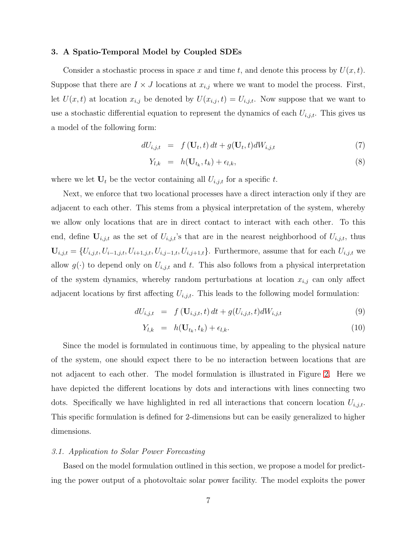## <span id="page-6-0"></span>3. A Spatio-Temporal Model by Coupled SDEs

Consider a stochastic process in space x and time t, and denote this process by  $U(x, t)$ . Suppose that there are  $I \times J$  locations at  $x_{i,j}$  where we want to model the process. First, let  $U(x, t)$  at location  $x_{i,j}$  be denoted by  $U(x_{i,j}, t) = U_{i,j,t}$ . Now suppose that we want to use a stochastic differential equation to represent the dynamics of each  $U_{i,j,t}$ . This gives us a model of the following form:

<span id="page-6-2"></span>
$$
dU_{i,j,t} = f(\mathbf{U}_t, t) dt + g(\mathbf{U}_t, t) dW_{i,j,t}
$$
\n(7)

$$
Y_{l,k} = h(\mathbf{U}_{t_k}, t_k) + \epsilon_{l,k}, \tag{8}
$$

where we let  $U_t$  be the vector containing all  $U_{i,j,t}$  for a specific t.

Next, we enforce that two locational processes have a direct interaction only if they are adjacent to each other. This stems from a physical interpretation of the system, whereby we allow only locations that are in direct contact to interact with each other. To this end, define  $U_{i,j,t}$  as the set of  $U_{i,j,t}$ 's that are in the nearest neighborhood of  $U_{i,j,t}$ , thus  **Furthermore, assume that for each**  $U<sub>i,j,t</sub>$  **we** allow  $g(\cdot)$  to depend only on  $U_{i,j,t}$  and t. This also follows from a physical interpretation of the system dynamics, whereby random perturbations at location  $x_{i,j}$  can only affect adjacent locations by first affecting  $U_{i,j,t}$ . This leads to the following model formulation:

<span id="page-6-1"></span>
$$
dU_{i,j,t} = f(\mathbf{U}_{i,j,t}, t) dt + g(U_{i,j,t}, t) dW_{i,j,t}
$$
\n(9)

$$
Y_{l,k} = h(\mathbf{U}_{t_k}, t_k) + \epsilon_{l,k}.\tag{10}
$$

Since the model is formulated in continuous time, by appealing to the physical nature of the system, one should expect there to be no interaction between locations that are not adjacent to each other. The model formulation is illustrated in Figure [2.](#page-7-0) Here we have depicted the different locations by dots and interactions with lines connecting two dots. Specifically we have highlighted in red all interactions that concern location  $U_{i,j,t}$ . This specific formulation is defined for 2-dimensions but can be easily generalized to higher dimensions.

#### <span id="page-6-3"></span>3.1. Application to Solar Power Forecasting

Based on the model formulation outlined in this section, we propose a model for predicting the power output of a photovoltaic solar power facility. The model exploits the power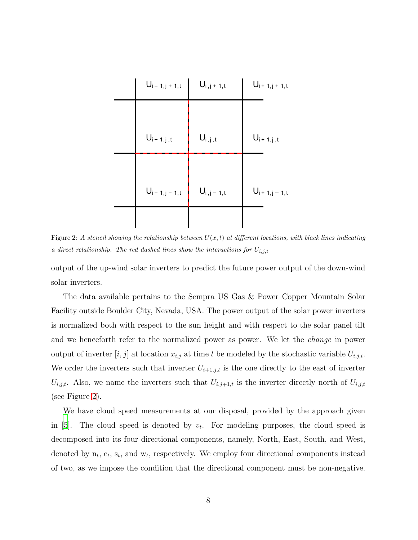

<span id="page-7-0"></span>Figure 2: A stencil showing the relationship between  $U(x,t)$  at different locations, with black lines indicating a direct relationship. The red dashed lines show the interactions for  $U_{i,j,t}$ 

output of the up-wind solar inverters to predict the future power output of the down-wind solar inverters.

The data available pertains to the Sempra US Gas & Power Copper Mountain Solar Facility outside Boulder City, Nevada, USA. The power output of the solar power inverters is normalized both with respect to the sun height and with respect to the solar panel tilt and we henceforth refer to the normalized power as power. We let the change in power output of inverter  $[i, j]$  at location  $x_{i,j}$  at time t be modeled by the stochastic variable  $U_{i,j,t}$ . We order the inverters such that inverter  $U_{i+1,j,t}$  is the one directly to the east of inverter  $U_{i,j,t}$ . Also, we name the inverters such that  $U_{i,j+1,t}$  is the inverter directly north of  $U_{i,j,t}$ (see Figure [2\)](#page-7-0).

We have cloud speed measurements at our disposal, provided by the approach given in [\[5](#page-20-5)]. The cloud speed is denoted by  $v_t$ . For modeling purposes, the cloud speed is decomposed into its four directional components, namely, North, East, South, and West, denoted by  $n_t$ ,  $e_t$ ,  $s_t$ , and  $w_t$ , respectively. We employ four directional components instead of two, as we impose the condition that the directional component must be non-negative.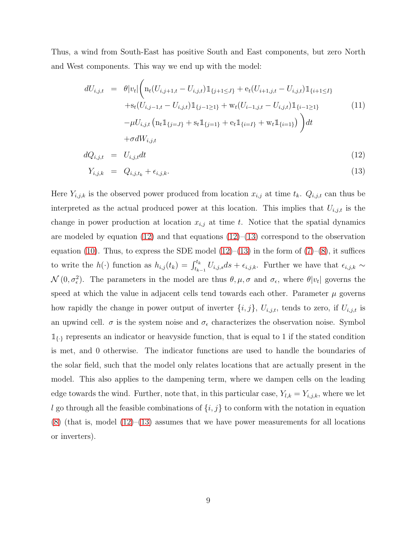Thus, a wind from South-East has positive South and East components, but zero North and West components. This way we end up with the model:

<span id="page-8-0"></span>
$$
dU_{i,j,t} = \theta|v_t| \left( n_t (U_{i,j+1,t} - U_{i,j,t}) \mathbb{1}_{\{j+1 \leq J\}} + e_t (U_{i+1,j,t} - U_{i,j,t}) \mathbb{1}_{\{i+1 \leq I\}} + s_t (U_{i,j-1,t} - U_{i,j,t}) \mathbb{1}_{\{j-1 \geq 1\}} + w_t (U_{i-1,j,t} - U_{i,j,t}) \mathbb{1}_{\{i-1 \geq 1\}} - \mu U_{i,j,t} (n_t \mathbb{1}_{\{j=J\}} + s_t \mathbb{1}_{\{j=1\}} + e_t \mathbb{1}_{\{i=I\}} + w_t \mathbb{1}_{\{i=1\}}) \right) dt + \sigma dW_{i,j,t}
$$
\n(11)

$$
dQ_{i,j,t} = U_{i,j,t}dt \tag{12}
$$

$$
Y_{i,j,k} = Q_{i,j,t_k} + \epsilon_{i,j,k}.\tag{13}
$$

Here  $Y_{i,j,k}$  is the observed power produced from location  $x_{i,j}$  at time  $t_k$ .  $Q_{i,j,t}$  can thus be interpreted as the actual produced power at this location. This implies that  $U_{i,j,t}$  is the change in power production at location  $x_{i,j}$  at time t. Notice that the spatial dynamics are modeled by equation [\(12\)](#page-8-0) and that equations  $(12)$ –[\(13\)](#page-8-0) correspond to the observation equation [\(10\)](#page-6-1). Thus, to express the SDE model  $(12)$ – $(13)$  in the form of  $(7)$ – $(8)$ , it suffices to write the  $h(\cdot)$  function as  $h_{i,j}(t_k) = \int_{t_{k-1}}^{t_k} U_{i,j,s} ds + \epsilon_{i,j,k}$ . Further we have that  $\epsilon_{i,j,k} \sim$  $\mathcal{N}(0, \sigma_{\epsilon}^2)$ . The parameters in the model are thus  $\theta, \mu, \sigma$  and  $\sigma_{\epsilon}$ , where  $\theta|v_t|$  governs the speed at which the value in adjacent cells tend towards each other. Parameter  $\mu$  governs how rapidly the change in power output of inverter  $\{i, j\}$ ,  $U_{i,j,t}$ , tends to zero, if  $U_{i,j,t}$  is an upwind cell.  $\sigma$  is the system noise and  $\sigma_{\epsilon}$  characterizes the observation noise. Symbol  $\mathbb{1}_{\{.\}}$  represents an indicator or heavyside function, that is equal to 1 if the stated condition is met, and 0 otherwise. The indicator functions are used to handle the boundaries of the solar field, such that the model only relates locations that are actually present in the model. This also applies to the dampening term, where we dampen cells on the leading edge towards the wind. Further, note that, in this particular case,  $Y_{l,k} = Y_{i,j,k}$ , where we let l go through all the feasible combinations of  $\{i, j\}$  to conform with the notation in equation  $(8)$  (that is, model  $(12)$ – $(13)$  assumes that we have power measurements for all locations or inverters).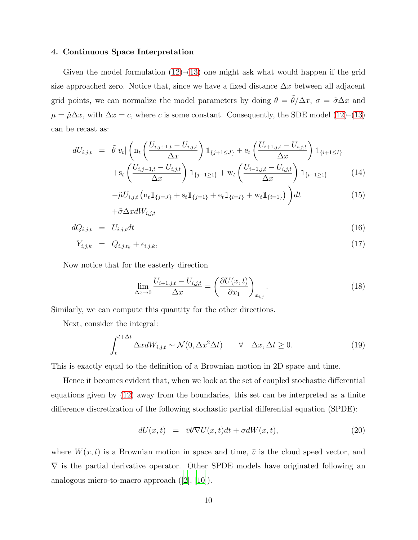## <span id="page-9-0"></span>4. Continuous Space Interpretation

Given the model formulation  $(12)$ – $(13)$  one might ask what would happen if the grid size approached zero. Notice that, since we have a fixed distance  $\Delta x$  between all adjacent grid points, we can normalize the model parameters by doing  $\theta = \tilde{\theta}/\Delta x$ ,  $\sigma = \tilde{\sigma}\Delta x$  and  $\mu = \tilde{\mu}\Delta x$ , with  $\Delta x = c$ , where c is some constant. Consequently, the SDE model [\(12\)](#page-8-0)–[\(13\)](#page-8-0) can be recast as:

<span id="page-9-2"></span>
$$
dU_{i,j,t} = \tilde{\theta}|v_t| \left( \ln_t \left( \frac{U_{i,j+1,t} - U_{i,j,t}}{\Delta x} \right) \mathbb{1}_{\{j+1 \leq J\}} + e_t \left( \frac{U_{i+1,j,t} - U_{i,j,t}}{\Delta x} \right) \mathbb{1}_{\{i+1 \leq I\}} + s_t \left( \frac{U_{i,j-1,t} - U_{i,j,t}}{\Delta x} \right) \mathbb{1}_{\{j-1 \geq 1\}} + w_t \left( \frac{U_{i-1,j,t} - U_{i,j,t}}{\Delta x} \right) \mathbb{1}_{\{i-1 \geq 1\}} \tag{14}
$$

$$
-\tilde{\mu}U_{i,j,t}\left(\mathbf{n}_t\mathbb{1}_{\{j=J\}} + \mathbf{s}_t\mathbb{1}_{\{j=1\}} + \mathbf{e}_t\mathbb{1}_{\{i=I\}} + \mathbf{w}_t\mathbb{1}_{\{i=1\}}\right)\bigg)dt\tag{15}
$$

$$
+ \tilde{\sigma} \Delta x dW_{i,j,t}
$$

$$
dQ_{i,j,t} = U_{i,j,t}dt \tag{16}
$$

$$
Y_{i,j,k} = Q_{i,j,t_k} + \epsilon_{i,j,k},\tag{17}
$$

Now notice that for the easterly direction

$$
\lim_{\Delta x \to 0} \frac{U_{i+1,j,t} - U_{i,j,t}}{\Delta x} = \left(\frac{\partial U(x,t)}{\partial x_1}\right)_{x_{i,j}}.\tag{18}
$$

Similarly, we can compute this quantity for the other directions.

Next, consider the integral:

$$
\int_{t}^{t+\Delta t} \Delta x dW_{i,j,t} \sim \mathcal{N}(0, \Delta x^{2} \Delta t) \qquad \forall \quad \Delta x, \Delta t \ge 0.
$$
 (19)

This is exactly equal to the definition of a Brownian motion in 2D space and time.

Hence it becomes evident that, when we look at the set of coupled stochastic differential equations given by [\(12\)](#page-8-0) away from the boundaries, this set can be interpreted as a finite difference discretization of the following stochastic partial differential equation (SPDE):

<span id="page-9-1"></span>
$$
dU(x,t) = \bar{v}\theta\nabla U(x,t)dt + \sigma dW(x,t), \qquad (20)
$$

where  $W(x, t)$  is a Brownian motion in space and time,  $\overline{v}$  is the cloud speed vector, and  $\nabla$  is the partial derivative operator. Other SPDE models have originated following an analogous micro-to-macro approach ([\[2\]](#page-20-6), [\[10](#page-20-7)]).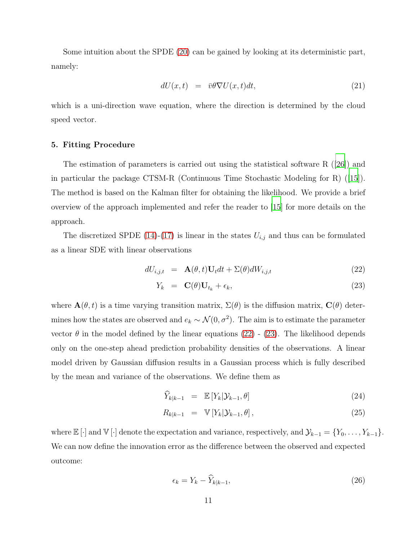Some intuition about the SPDE [\(20\)](#page-9-1) can be gained by looking at its deterministic part, namely:

$$
dU(x,t) = \bar{v}\theta \nabla U(x,t)dt, \qquad (21)
$$

<span id="page-10-0"></span>which is a uni-direction wave equation, where the direction is determined by the cloud speed vector.

## 5. Fitting Procedure

The estimation of parameters is carried out using the statistical software R ([\[26\]](#page-22-10)) and in particular the package CTSM-R (Continuous Time Stochastic Modeling for R) ([\[15](#page-21-7)]). The method is based on the Kalman filter for obtaining the likelihood. We provide a brief overview of the approach implemented and refer the reader to [\[15](#page-21-7)] for more details on the approach.

The discretized SPDE [\(14\)](#page-9-2)-[\(17\)](#page-9-2) is linear in the states  $U_{i,j}$  and thus can be formulated as a linear SDE with linear observations

<span id="page-10-1"></span>
$$
dU_{i,j,t} = \mathbf{A}(\theta, t)\mathbf{U}_t dt + \Sigma(\theta) dW_{i,j,t}
$$
\n(22)

$$
Y_k = \mathbf{C}(\theta) \mathbf{U}_{t_k} + \epsilon_k, \tag{23}
$$

where  $\mathbf{A}(\theta, t)$  is a time varying transition matrix,  $\Sigma(\theta)$  is the diffusion matrix,  $\mathbf{C}(\theta)$  determines how the states are observed and  $e_k \sim \mathcal{N}(0, \sigma^2)$ . The aim is to estimate the parameter vector  $\theta$  in the model defined by the linear equations [\(22\)](#page-10-1) - [\(23\)](#page-10-1). The likelihood depends only on the one-step ahead prediction probability densities of the observations. A linear model driven by Gaussian diffusion results in a Gaussian process which is fully described by the mean and variance of the observations. We define them as

$$
\widehat{Y}_{k|k-1} = \mathbb{E}\left[Y_k|\mathcal{Y}_{k-1},\theta\right] \tag{24}
$$

$$
R_{k|k-1} = \mathbb{V}\left[Y_k|\mathcal{Y}_{k-1}, \theta\right],\tag{25}
$$

where  $\mathbb{E}[\cdot]$  and  $\mathbb{V}[\cdot]$  denote the expectation and variance, respectively, and  $\mathcal{Y}_{k-1} = \{Y_0, \ldots, Y_{k-1}\}.$ We can now define the innovation error as the difference between the observed and expected outcome:

$$
\epsilon_k = Y_k - \widehat{Y}_{k|k-1},\tag{26}
$$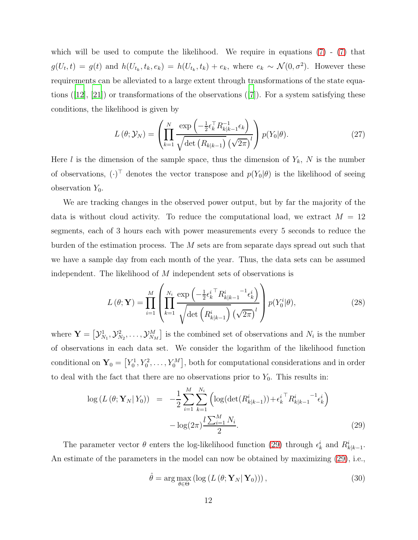which will be used to compute the likelihood. We require in equations  $(7)$  -  $(7)$  that  $g(U_t,t) = g(t)$  and  $h(U_{t_k}, t_k, e_k) = h(U_{t_k}, t_k) + e_k$ , where  $e_k \sim \mathcal{N}(0, \sigma^2)$ . However these requirements can be alleviated to a large extent through transformations of the state equations  $([12], [21])$  $([12], [21])$  $([12], [21])$  $([12], [21])$  $([12], [21])$  or transformations of the observations  $([7])$  $([7])$  $([7])$ . For a system satisfying these conditions, the likelihood is given by

$$
L(\theta; \mathcal{Y}_N) = \left( \prod_{k=1}^N \frac{\exp\left(-\frac{1}{2} \epsilon_k^{\top} R_{k|k-1}^{-1} \epsilon_k\right)}{\sqrt{\det\left(R_{k|k-1}\right)} \left(\sqrt{2\pi}\right)^l} \right) p(Y_0|\theta). \tag{27}
$$

Here l is the dimension of the sample space, thus the dimension of  $Y_k$ , N is the number of observations,  $(\cdot)^{\top}$  denotes the vector transpose and  $p(Y_0|\theta)$  is the likelihood of seeing observation  $Y_0$ .

We are tracking changes in the observed power output, but by far the majority of the data is without cloud activity. To reduce the computational load, we extract  $M = 12$ segments, each of 3 hours each with power measurements every 5 seconds to reduce the burden of the estimation process. The M sets are from separate days spread out such that we have a sample day from each month of the year. Thus, the data sets can be assumed independent. The likelihood of M independent sets of observations is

$$
L(\theta; \mathbf{Y}) = \prod_{i=1}^{M} \left( \prod_{k=1}^{N_i} \frac{\exp\left(-\frac{1}{2} \epsilon_k^{i \top} R_{k|k-1}^i^{-1} \epsilon_k^i\right)}{\sqrt{\det\left(R_{k|k-1}^i\right)} \left(\sqrt{2\pi}\right)^l} \right) p(Y_0^i|\theta), \tag{28}
$$

where  $\mathbf{Y} = \begin{bmatrix} \mathcal{Y}_{\Lambda}^1 \end{bmatrix}$  $\mathcal{Y}_{N_1}^1, \mathcal{Y}_N^2$  $\mathcal{Y}_{N_2}^2, \ldots, \mathcal{Y}_{N_M}^M$  is the combined set of observations and  $N_i$  is the number of observations in each data set. We consider the logarithm of the likelihood function conditional on  $Y_0 = [Y_0^1, Y_0^2, \ldots, Y_0^M]$ , both for computational considerations and in order to deal with the fact that there are no observations prior to  $Y_0$ . This results in:

<span id="page-11-0"></span>
$$
\log\left(L\left(\theta; \mathbf{Y}_{N} | Y_{0}\right)\right) = -\frac{1}{2} \sum_{i=1}^{M} \sum_{k=1}^{N_{i}} \left( \log(\det(R_{k|k-1}^{i})) + \epsilon_{k}^{i \top} R_{k|k-1}^{i - 1} \epsilon_{k}^{i} \right) - \log(2\pi) \frac{l \sum_{i=1}^{M} N_{i}}{2}.
$$
\n(29)

The parameter vector  $\theta$  enters the log-likelihood function [\(29\)](#page-11-0) through  $\epsilon_k^i$  and  $R_{k|k-1}^i$ . An estimate of the parameters in the model can now be obtained by maximizing [\(29\)](#page-11-0), i.e.,

<span id="page-11-1"></span>
$$
\hat{\theta} = \arg \max_{\theta \in \Theta} \left( \log \left( L \left( \theta; \mathbf{Y}_N | \mathbf{Y}_0 \right) \right) \right),\tag{30}
$$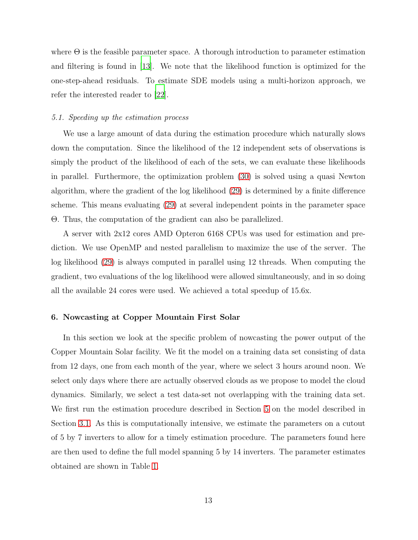where  $\Theta$  is the feasible parameter space. A thorough introduction to parameter estimation and filtering is found in [\[13\]](#page-20-10). We note that the likelihood function is optimized for the one-step-ahead residuals. To estimate SDE models using a multi-horizon approach, we refer the interested reader to [\[22\]](#page-21-9).

#### 5.1. Speeding up the estimation process

We use a large amount of data during the estimation procedure which naturally slows down the computation. Since the likelihood of the 12 independent sets of observations is simply the product of the likelihood of each of the sets, we can evaluate these likelihoods in parallel. Furthermore, the optimization problem [\(30\)](#page-11-1) is solved using a quasi Newton algorithm, where the gradient of the log likelihood [\(29\)](#page-11-0) is determined by a finite difference scheme. This means evaluating [\(29\)](#page-11-0) at several independent points in the parameter space Θ. Thus, the computation of the gradient can also be parallelized.

A server with 2x12 cores AMD Opteron 6168 CPUs was used for estimation and prediction. We use OpenMP and nested parallelism to maximize the use of the server. The log likelihood [\(29\)](#page-11-0) is always computed in parallel using 12 threads. When computing the gradient, two evaluations of the log likelihood were allowed simultaneously, and in so doing all the available 24 cores were used. We achieved a total speedup of 15.6x.

#### <span id="page-12-0"></span>6. Nowcasting at Copper Mountain First Solar

In this section we look at the specific problem of nowcasting the power output of the Copper Mountain Solar facility. We fit the model on a training data set consisting of data from 12 days, one from each month of the year, where we select 3 hours around noon. We select only days where there are actually observed clouds as we propose to model the cloud dynamics. Similarly, we select a test data-set not overlapping with the training data set. We first run the estimation procedure described in Section [5](#page-10-0) on the model described in Section [3.1.](#page-6-3) As this is computationally intensive, we estimate the parameters on a cutout of 5 by 7 inverters to allow for a timely estimation procedure. The parameters found here are then used to define the full model spanning 5 by 14 inverters. The parameter estimates obtained are shown in Table [1.](#page-13-0)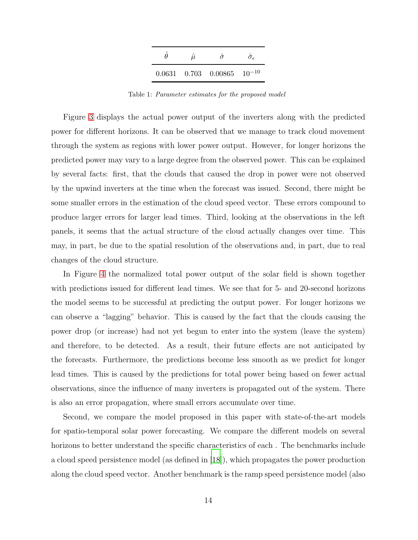|  | $0.0631$ $0.703$ $0.00865$ $10^{-10}$ |  |
|--|---------------------------------------|--|

<span id="page-13-0"></span>Table 1: Parameter estimates for the proposed model

Figure [3](#page-14-0) displays the actual power output of the inverters along with the predicted power for different horizons. It can be observed that we manage to track cloud movement through the system as regions with lower power output. However, for longer horizons the predicted power may vary to a large degree from the observed power. This can be explained by several facts: first, that the clouds that caused the drop in power were not observed by the upwind inverters at the time when the forecast was issued. Second, there might be some smaller errors in the estimation of the cloud speed vector. These errors compound to produce larger errors for larger lead times. Third, looking at the observations in the left panels, it seems that the actual structure of the cloud actually changes over time. This may, in part, be due to the spatial resolution of the observations and, in part, due to real changes of the cloud structure.

In Figure [4](#page-15-0) the normalized total power output of the solar field is shown together with predictions issued for different lead times. We see that for 5- and 20-second horizons the model seems to be successful at predicting the output power. For longer horizons we can observe a "lagging" behavior. This is caused by the fact that the clouds causing the power drop (or increase) had not yet begun to enter into the system (leave the system) and therefore, to be detected. As a result, their future effects are not anticipated by the forecasts. Furthermore, the predictions become less smooth as we predict for longer lead times. This is caused by the predictions for total power being based on fewer actual observations, since the influence of many inverters is propagated out of the system. There is also an error propagation, where small errors accumulate over time.

Second, we compare the model proposed in this paper with state-of-the-art models for spatio-temporal solar power forecasting. We compare the different models on several horizons to better understand the specific characteristics of each . The benchmarks include a cloud speed persistence model (as defined in [\[18\]](#page-21-3)), which propagates the power production along the cloud speed vector. Another benchmark is the ramp speed persistence model (also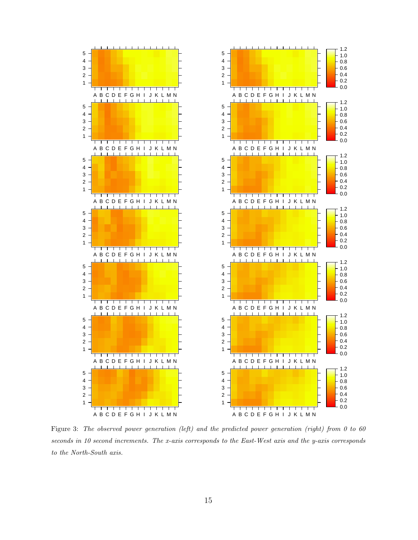

<span id="page-14-0"></span>Figure 3: The observed power generation (left) and the predicted power generation (right) from 0 to 60 seconds in 10 second increments. The x-axis corresponds to the East-West axis and the y-axis corresponds to the North-South axis.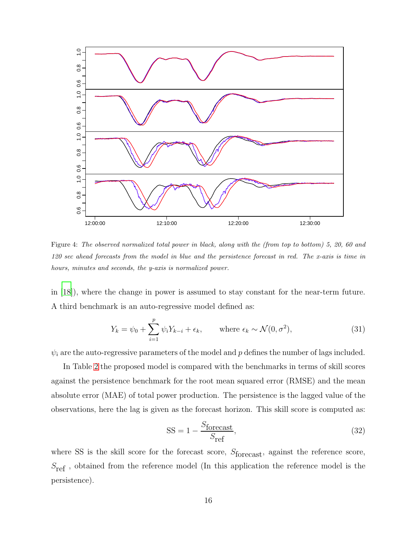

<span id="page-15-0"></span>Figure 4: The observed normalized total power in black, along with the (from top to bottom) 5, 20, 60 and 120 sec ahead forecasts from the model in blue and the persistence forecast in red. The x-axis is time in hours, minutes and seconds, the y-axis is normalized power.

in [\[18\]](#page-21-3)), where the change in power is assumed to stay constant for the near-term future. A third benchmark is an auto-regressive model defined as:

$$
Y_k = \psi_0 + \sum_{i=1}^p \psi_i Y_{k-i} + \epsilon_k, \quad \text{where } \epsilon_k \sim \mathcal{N}(0, \sigma^2), \tag{31}
$$

 $\psi_i$  are the auto-regressive parameters of the model and p defines the number of lags included.

In Table [2](#page-16-0) the proposed model is compared with the benchmarks in terms of skill scores against the persistence benchmark for the root mean squared error (RMSE) and the mean absolute error (MAE) of total power production. The persistence is the lagged value of the observations, here the lag is given as the forecast horizon. This skill score is computed as:

$$
SS = 1 - \frac{S_{\text{forecast}}}{S_{\text{ref}}},\tag{32}
$$

where SS is the skill score for the forecast score,  $S_{\text{forecast}}$ , against the reference score,  $S_{\text{ref}}$ , obtained from the reference model (In this application the reference model is the persistence).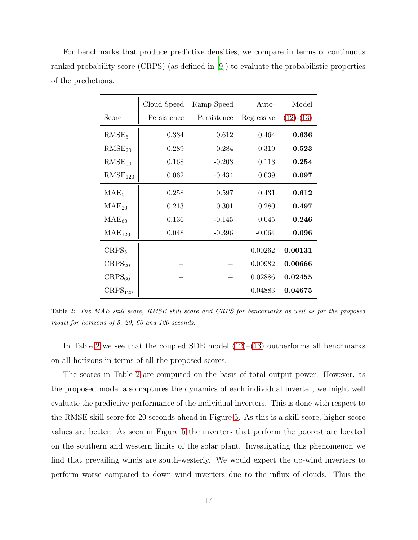For benchmarks that produce predictive densities, we compare in terms of continuous ranked probability score (CRPS) (as defined in [\[9\]](#page-20-11)) to evaluate the probabilistic properties of the predictions.

|                     | Cloud Speed | Ramp Speed  | Auto-      | Model       |
|---------------------|-------------|-------------|------------|-------------|
| Score               | Persistence | Persistence | Regressive | $(12)-(13)$ |
| RMSE <sub>5</sub>   | 0.334       | 0.612       | 0.464      | 0.636       |
| $RMSE_{20}$         | 0.289       | 0.284       | 0.319      | 0.523       |
| $RMSE_{60}$         | 0.168       | $-0.203$    | 0.113      | 0.254       |
| RMSE <sub>120</sub> | 0.062       | $-0.434$    | 0.039      | 0.097       |
| MAE <sub>5</sub>    | 0.258       | 0.597       | 0.431      | 0.612       |
| $MAE_{20}$          | 0.213       | 0.301       | 0.280      | 0.497       |
| MAE <sub>60</sub>   | 0.136       | $-0.145$    | 0.045      | 0.246       |
| $MAE_{120}$         | 0.048       | $-0.396$    | $-0.064$   | 0.096       |
| CRPS <sub>5</sub>   |             |             | 0.00262    | 0.00131     |
| $CRPS_{20}$         |             |             | 0.00982    | 0.00666     |
| $CRPS_{60}$         |             |             | 0.02886    | 0.02455     |
| CRPS <sub>120</sub> |             |             | 0.04883    | 0.04675     |

<span id="page-16-0"></span>Table 2: The MAE skill score, RMSE skill score and CRPS for benchmarks as well as for the proposed model for horizons of 5, 20, 60 and 120 seconds.

In Table [2](#page-16-0) we see that the coupled SDE model  $(12)$ – $(13)$  outperforms all benchmarks on all horizons in terms of all the proposed scores.

The scores in Table [2](#page-16-0) are computed on the basis of total output power. However, as the proposed model also captures the dynamics of each individual inverter, we might well evaluate the predictive performance of the individual inverters. This is done with respect to the RMSE skill score for 20 seconds ahead in Figure [5.](#page-17-0) As this is a skill-score, higher score values are better. As seen in Figure [5](#page-17-0) the inverters that perform the poorest are located on the southern and western limits of the solar plant. Investigating this phenomenon we find that prevailing winds are south-westerly. We would expect the up-wind inverters to perform worse compared to down wind inverters due to the influx of clouds. Thus the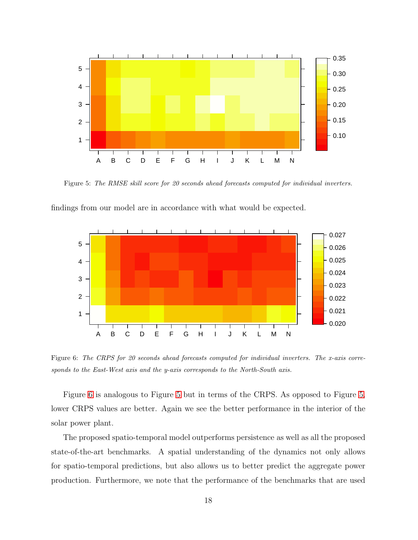

<span id="page-17-0"></span>Figure 5: The RMSE skill score for 20 seconds ahead forecasts computed for individual inverters.



findings from our model are in accordance with what would be expected.

<span id="page-17-1"></span>Figure 6: The CRPS for 20 seconds ahead forecasts computed for individual inverters. The x-axis corresponds to the East-West axis and the y-axis corresponds to the North-South axis.

Figure [6](#page-17-1) is analogous to Figure [5](#page-17-0) but in terms of the CRPS. As opposed to Figure [5,](#page-17-0) lower CRPS values are better. Again we see the better performance in the interior of the solar power plant.

The proposed spatio-temporal model outperforms persistence as well as all the proposed state-of-the-art benchmarks. A spatial understanding of the dynamics not only allows for spatio-temporal predictions, but also allows us to better predict the aggregate power production. Furthermore, we note that the performance of the benchmarks that are used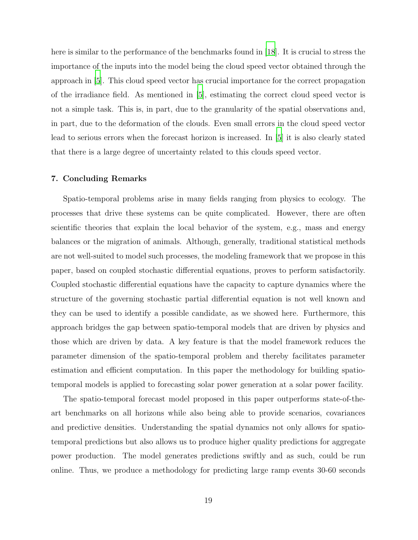here is similar to the performance of the benchmarks found in [\[18](#page-21-3)]. It is crucial to stress the importance of the inputs into the model being the cloud speed vector obtained through the approach in [\[5\]](#page-20-5). This cloud speed vector has crucial importance for the correct propagation of the irradiance field. As mentioned in [\[5\]](#page-20-5), estimating the correct cloud speed vector is not a simple task. This is, in part, due to the granularity of the spatial observations and, in part, due to the deformation of the clouds. Even small errors in the cloud speed vector lead to serious errors when the forecast horizon is increased. In [\[5](#page-20-5)] it is also clearly stated that there is a large degree of uncertainty related to this clouds speed vector.

#### <span id="page-18-0"></span>7. Concluding Remarks

Spatio-temporal problems arise in many fields ranging from physics to ecology. The processes that drive these systems can be quite complicated. However, there are often scientific theories that explain the local behavior of the system, e.g., mass and energy balances or the migration of animals. Although, generally, traditional statistical methods are not well-suited to model such processes, the modeling framework that we propose in this paper, based on coupled stochastic differential equations, proves to perform satisfactorily. Coupled stochastic differential equations have the capacity to capture dynamics where the structure of the governing stochastic partial differential equation is not well known and they can be used to identify a possible candidate, as we showed here. Furthermore, this approach bridges the gap between spatio-temporal models that are driven by physics and those which are driven by data. A key feature is that the model framework reduces the parameter dimension of the spatio-temporal problem and thereby facilitates parameter estimation and efficient computation. In this paper the methodology for building spatiotemporal models is applied to forecasting solar power generation at a solar power facility.

The spatio-temporal forecast model proposed in this paper outperforms state-of-theart benchmarks on all horizons while also being able to provide scenarios, covariances and predictive densities. Understanding the spatial dynamics not only allows for spatiotemporal predictions but also allows us to produce higher quality predictions for aggregate power production. The model generates predictions swiftly and as such, could be run online. Thus, we produce a methodology for predicting large ramp events 30-60 seconds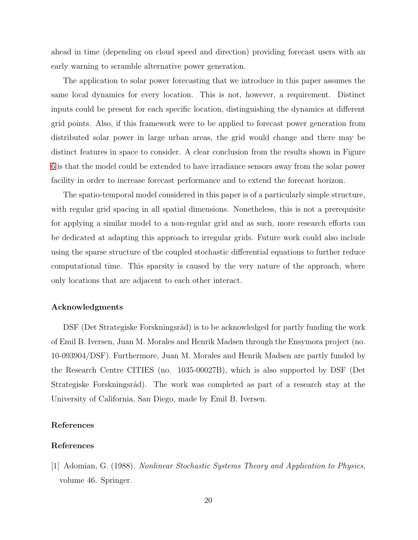ahead in time (depending on cloud speed and direction) providing forecast users with an early warning to scramble alternative power generation.

The application to solar power forecasting that we introduce in this paper assumes the same local dynamics for every location. This is not, however, a requirement. Distinct inputs could be present for each specific location, distinguishing the dynamics at different grid points. Also, if this framework were to be applied to forecast power generation from distributed solar power in large urban areas, the grid would change and there may be distinct features in space to consider. A clear conclusion from the results shown in Figure [6](#page-17-1) is that the model could be extended to have irradiance sensors away from the solar power facility in order to increase forecast performance and to extend the forecast horizon.

The spatio-temporal model considered in this paper is of a particularly simple structure, with regular grid spacing in all spatial dimensions. Nonetheless, this is not a prerequisite for applying a similar model to a non-regular grid and as such, more research efforts can be dedicated at adapting this approach to irregular grids. Future work could also include using the sparse structure of the coupled stochastic differential equations to further reduce computational time. This sparsity is caused by the very nature of the approach, where only locations that are adjacent to each other interact.

# Acknowledgments

DSF (Det Strategiske Forskningsråd) is to be acknowledged for partly funding the work of Emil B. Iversen, Juan M. Morales and Henrik Madsen through the Ensymora project (no. 10-093904/DSF). Furthermore, Juan M. Morales and Henrik Madsen are partly funded by the Research Centre CITIES (no. 1035-00027B), which is also supported by DSF (Det Strategiske Forskningsråd). The work was completed as part of a research stay at the University of California, San Diego, made by Emil B. Iversen.

# References

# References

<span id="page-19-0"></span>[1] Adomian, G. (1988). Nonlinear Stochastic Systems Theory and Application to Physics, volume 46. Springer.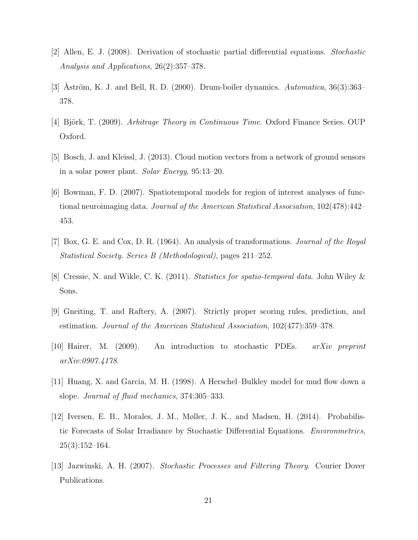- <span id="page-20-6"></span>[2] Allen, E. J. (2008). Derivation of stochastic partial differential equations. Stochastic Analysis and Applications, 26(2):357–378.
- <span id="page-20-2"></span>[3] Aström, K. J. and Bell, R. D. (2000). Drum-boiler dynamics. Automatica,  $36(3):363-$ 378.
- <span id="page-20-4"></span>[4] Björk, T. (2009). Arbitrage Theory in Continuous Time. Oxford Finance Series. OUP Oxford.
- <span id="page-20-5"></span>[5] Bosch, J. and Kleissl, J. (2013). Cloud motion vectors from a network of ground sensors in a solar power plant. Solar Energy, 95:13–20.
- <span id="page-20-0"></span>[6] Bowman, F. D. (2007). Spatiotemporal models for region of interest analyses of functional neuroimaging data. Journal of the American Statistical Association, 102(478):442– 453.
- <span id="page-20-9"></span>[7] Box, G. E. and Cox, D. R. (1964). An analysis of transformations. Journal of the Royal Statistical Society. Series B (Methodological), pages 211–252.
- <span id="page-20-1"></span>[8] Cressie, N. and Wikle, C. K. (2011). Statistics for spatio-temporal data. John Wiley & Sons.
- <span id="page-20-11"></span>[9] Gneiting, T. and Raftery, A. (2007). Strictly proper scoring rules, prediction, and estimation. Journal of the American Statistical Association, 102(477):359–378.
- <span id="page-20-7"></span>[10] Hairer, M. (2009). An introduction to stochastic PDEs.  $arXiv$  preprint arXiv:0907.4178.
- <span id="page-20-3"></span>[11] Huang, X. and Garcia, M. H. (1998). A Herschel–Bulkley model for mud flow down a slope. Journal of fluid mechanics, 374:305–333.
- <span id="page-20-8"></span>[12] Iversen, E. B., Morales, J. M., Møller, J. K., and Madsen, H. (2014). Probabilistic Forecasts of Solar Irradiance by Stochastic Differential Equations. Environmetrics,  $25(3):152-164.$
- <span id="page-20-10"></span>[13] Jazwinski, A. H. (2007). Stochastic Processes and Filtering Theory. Courier Dover Publications.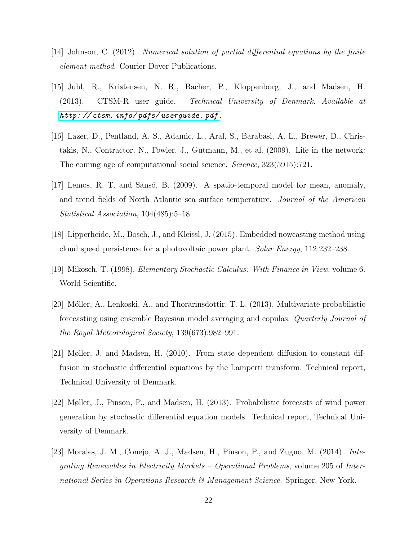- <span id="page-21-6"></span>[14] Johnson, C. (2012). Numerical solution of partial differential equations by the finite element method. Courier Dover Publications.
- <span id="page-21-7"></span>[15] Juhl, R., Kristensen, N. R., Bacher, P., Kloppenborg, J., and Madsen, H. (2013). CTSM-R user guide. Technical University of Denmark. Available at *[http: // ctsm. info/ pdfs/ userguide. pdf](http://ctsm.info/pdfs/userguide.pdf)* .
- <span id="page-21-1"></span>[16] Lazer, D., Pentland, A. S., Adamic, L., Aral, S., Barabasi, A. L., Brewer, D., Christakis, N., Contractor, N., Fowler, J., Gutmann, M., et al. (2009). Life in the network: The coming age of computational social science. Science, 323(5915):721.
- <span id="page-21-2"></span>[17] Lemos, R. T. and Sansó, B. (2009). A spatio-temporal model for mean, anomaly, and trend fields of North Atlantic sea surface temperature. Journal of the American Statistical Association, 104(485):5–18.
- <span id="page-21-3"></span>[18] Lipperheide, M., Bosch, J., and Kleissl, J. (2015). Embedded nowcasting method using cloud speed persistence for a photovoltaic power plant. Solar Energy, 112:232–238.
- <span id="page-21-5"></span>[19] Mikosch, T. (1998). Elementary Stochastic Calculus: With Finance in View, volume 6. World Scientific.
- <span id="page-21-0"></span>[20] Möller, A., Lenkoski, A., and Thorarinsdottir, T. L. (2013). Multivariate probabilistic forecasting using ensemble Bayesian model averaging and copulas. Quarterly Journal of the Royal Meteorological Society, 139(673):982–991.
- <span id="page-21-8"></span>[21] Møller, J. and Madsen, H. (2010). From state dependent diffusion to constant diffusion in stochastic differential equations by the Lamperti transform. Technical report, Technical University of Denmark.
- <span id="page-21-9"></span>[22] Møller, J., Pinson, P., and Madsen, H. (2013). Probabilistic forecasts of wind power generation by stochastic differential equation models. Technical report, Technical University of Denmark.
- <span id="page-21-4"></span>[23] Morales, J. M., Conejo, A. J., Madsen, H., Pinson, P., and Zugno, M. (2014). Integrating Renewables in Electricity Markets – Operational Problems, volume 205 of International Series in Operations Research & Management Science. Springer, New York.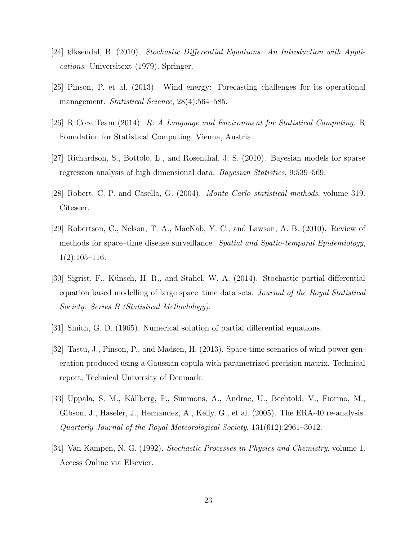- <span id="page-22-7"></span>[24] Øksendal, B. (2010). Stochastic Differential Equations: An Introduction with Applications. Universitext (1979). Springer.
- <span id="page-22-5"></span>[25] Pinson, P. et al. (2013). Wind energy: Forecasting challenges for its operational management. Statistical Science, 28(4):564–585.
- <span id="page-22-10"></span>[26] R Core Team (2014). R: A Language and Environment for Statistical Computing. R Foundation for Statistical Computing, Vienna, Austria.
- <span id="page-22-2"></span>[27] Richardson, S., Bottolo, L., and Rosenthal, J. S. (2010). Bayesian models for sparse regression analysis of high dimensional data. Bayesian Statistics, 9:539–569.
- <span id="page-22-9"></span>[28] Robert, C. P. and Casella, G. (2004). Monte Carlo statistical methods, volume 319. Citeseer.
- <span id="page-22-1"></span>[29] Robertson, C., Nelson, T. A., MacNab, Y. C., and Lawson, A. B. (2010). Review of methods for space–time disease surveillance. Spatial and Spatio-temporal Epidemiology,  $1(2):105-116.$
- <span id="page-22-0"></span>[30] Sigrist, F., K¨unsch, H. R., and Stahel, W. A. (2014). Stochastic partial differential equation based modelling of large space–time data sets. Journal of the Royal Statistical Society: Series B (Statistical Methodology).
- <span id="page-22-8"></span>[31] Smith, G. D. (1965). Numerical solution of partial differential equations.
- <span id="page-22-4"></span>[32] Tastu, J., Pinson, P., and Madsen, H. (2013). Space-time scenarios of wind power generation produced using a Gaussian copula with parametrized precision matrix. Technical report, Technical University of Denmark.
- <span id="page-22-3"></span>[33] Uppala, S. M., Kållberg, P., Simmons, A., Andrae, U., Bechtold, V., Fiorino, M., Gibson, J., Haseler, J., Hernandez, A., Kelly, G., et al. (2005). The ERA-40 re-analysis. Quarterly Journal of the Royal Meteorological Society, 131(612):2961–3012.
- <span id="page-22-6"></span>[34] Van Kampen, N. G. (1992). Stochastic Processes in Physics and Chemistry, volume 1. Access Online via Elsevier.